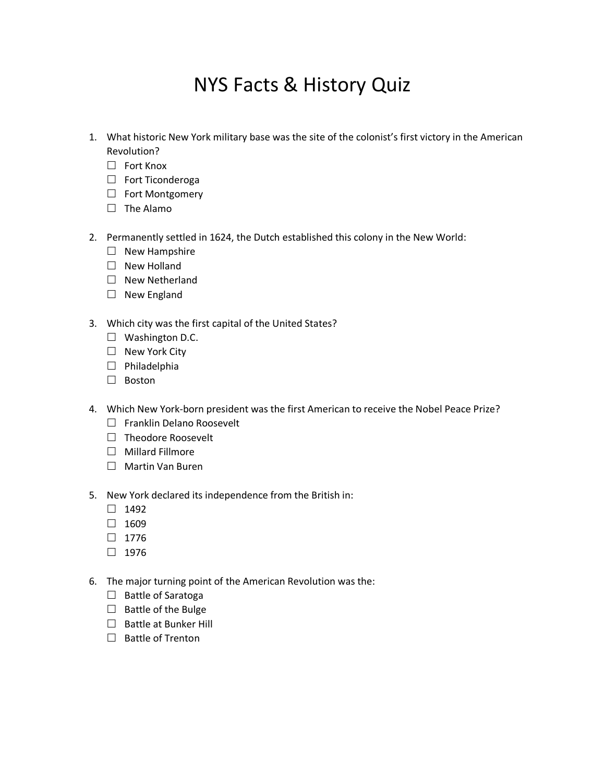## NYS Facts & History Quiz

- 1. What historic New York military base was the site of the colonist's first victory in the American Revolution?
	- $\Box$  Fort Knox
	- $\Box$  Fort Ticonderoga
	- □ Fort Montgomery
	- $\square$  The Alamo
- 2. Permanently settled in 1624, the Dutch established this colony in the New World:
	- $\Box$  New Hampshire
	- □ New Holland
	- $\Box$  New Netherland
	- □ New England
- 3. Which city was the first capital of the United States?
	- □ Washington D.C.
	- $\Box$  New York City
	- $\Box$  Philadelphia
	- □ Boston
- 4. Which New York-born president was the first American to receive the Nobel Peace Prize?
	- $\Box$  Franklin Delano Roosevelt
	- $\Box$  Theodore Roosevelt
	- $\Box$  Millard Fillmore
	- □ Martin Van Buren
- 5. New York declared its independence from the British in:
	- $\Box$  1492
	- $\Box$  1609
	- $\Box$  1776
	- $\Box$  1976
- 6. The major turning point of the American Revolution was the:
	- $\Box$  Battle of Saratoga
	- $\Box$  Battle of the Bulge
	- $\Box$  Battle at Bunker Hill
	- $\Box$  Battle of Trenton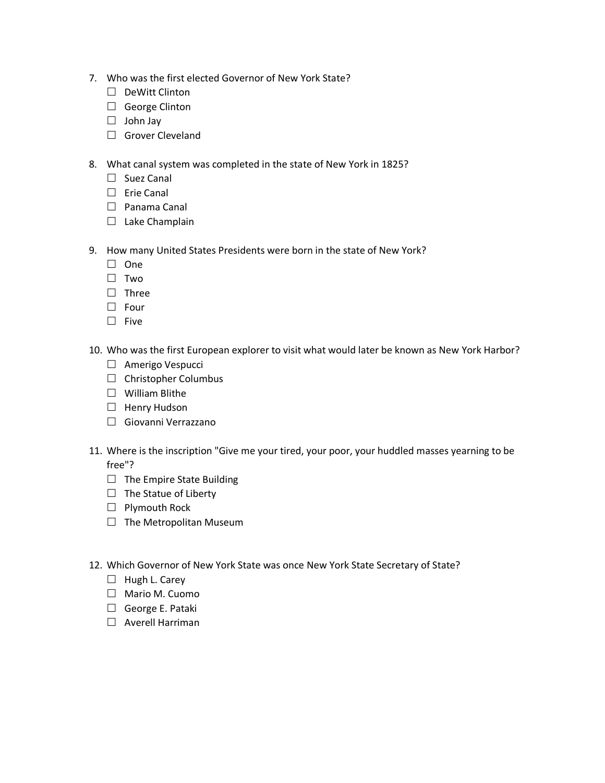- 7. Who was the first elected Governor of New York State?
	- $\Box$  DeWitt Clinton
	- □ George Clinton
	- $\Box$  John Jay
	- Grover Cleveland
- 8. What canal system was completed in the state of New York in 1825?
	- □ Suez Canal
	- $\square$  Erie Canal
	- $\Box$  Panama Canal
	- $\Box$  Lake Champlain
- 9. How many United States Presidents were born in the state of New York?
	- $\Box$  One
	- □ Two
	- $\Box$  Three
	- $\Box$  Four
	- $\square$  Five
- 10. Who was the first European explorer to visit what would later be known as New York Harbor?
	- □ Amerigo Vespucci
	- $\Box$  Christopher Columbus
	- $\Box$  William Blithe
	- $\Box$  Henry Hudson
	- Giovanni Verrazzano
- 11. Where is the inscription "Give me your tired, your poor, your huddled masses yearning to be free"?
	- $\Box$  The Empire State Building
	- $\Box$  The Statue of Liberty
	- $\Box$  Plymouth Rock
	- $\Box$  The Metropolitan Museum
- 12. Which Governor of New York State was once New York State Secretary of State?
	- $\Box$  Hugh L. Carey
	- Mario M. Cuomo
	- $\Box$  George E. Pataki
	- $\Box$  Averell Harriman